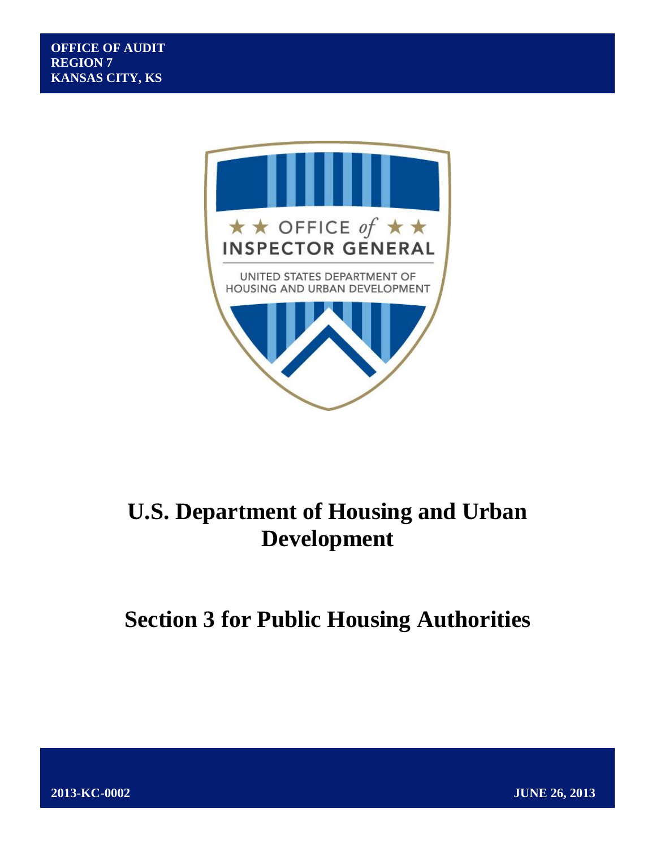

# **U.S. Department of Housing and Urban Development**

# **Section 3 for Public Housing Authorities**

**2013-KC-0002 JUNE 26, 2013**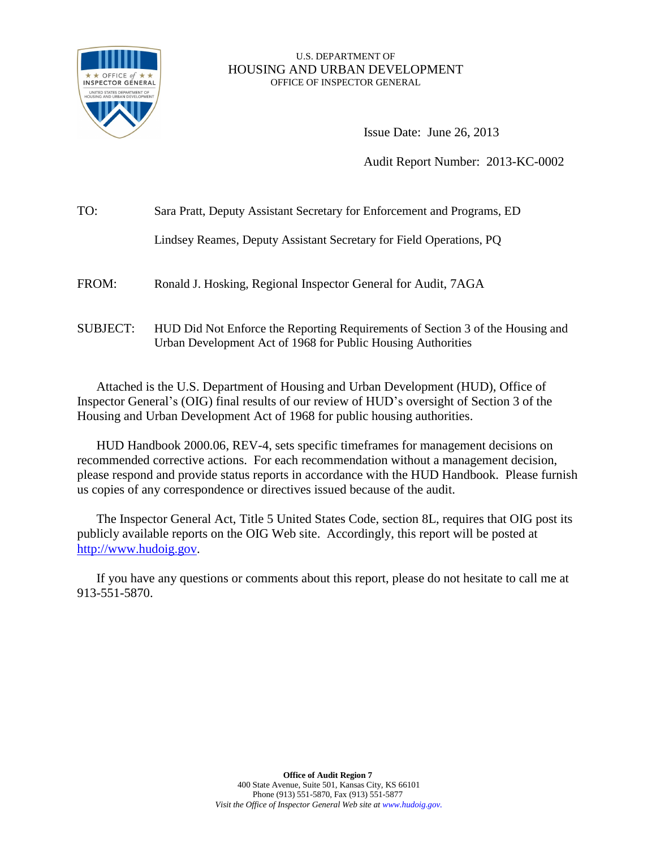

### U.S. DEPARTMENT OF HOUSING AND URBAN DEVELOPMENT OFFICE OF INSPECTOR GENERAL

Issue Date: June 26, 2013

Audit Report Number: 2013-KC-0002

| TO:             | Sara Pratt, Deputy Assistant Secretary for Enforcement and Programs, ED                                                                        |  |
|-----------------|------------------------------------------------------------------------------------------------------------------------------------------------|--|
|                 | Lindsey Reames, Deputy Assistant Secretary for Field Operations, PQ                                                                            |  |
| FROM:           | Ronald J. Hosking, Regional Inspector General for Audit, 7AGA                                                                                  |  |
| <b>SUBJECT:</b> | HUD Did Not Enforce the Reporting Requirements of Section 3 of the Housing and<br>Urban Development Act of 1968 for Public Housing Authorities |  |

Attached is the U.S. Department of Housing and Urban Development (HUD), Office of Inspector General's (OIG) final results of our review of HUD's oversight of Section 3 of the Housing and Urban Development Act of 1968 for public housing authorities.

HUD Handbook 2000.06, REV-4, sets specific timeframes for management decisions on recommended corrective actions. For each recommendation without a management decision, please respond and provide status reports in accordance with the HUD Handbook. Please furnish us copies of any correspondence or directives issued because of the audit.

The Inspector General Act, Title 5 United States Code, section 8L, requires that OIG post its publicly available reports on the OIG Web site. Accordingly, this report will be posted at [http://www.hudoig.gov.](http://www.hudoig.gov/)

If you have any questions or comments about this report, please do not hesitate to call me at 913-551-5870.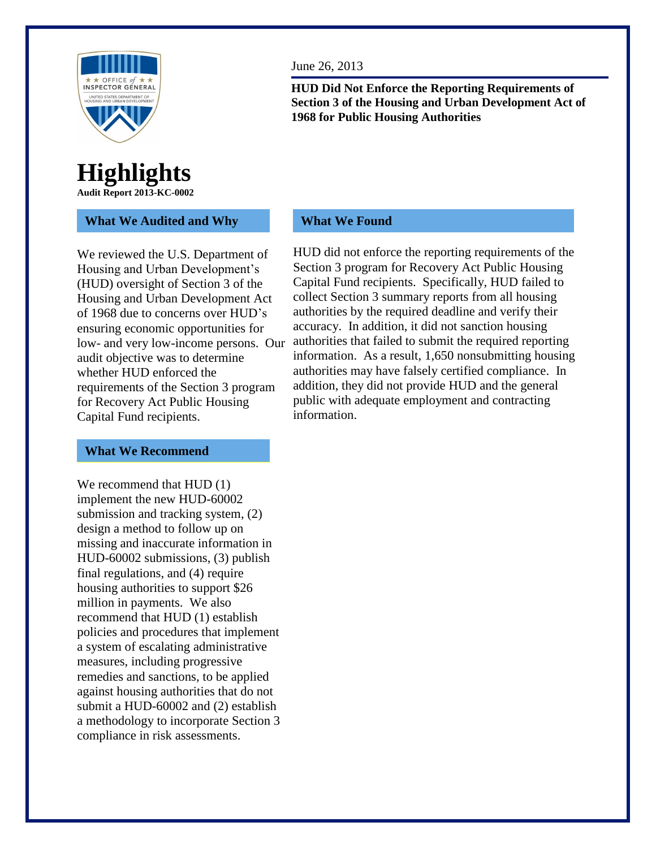

### **Highlights Audit Report 2013-KC-0002**

### **What We Audited and Why**

We reviewed the U.S. Department of Housing and Urban Development's (HUD) oversight of Section 3 of the Housing and Urban Development Act of 1968 due to concerns over HUD's ensuring economic opportunities for low- and very low-income persons. Our audit objective was to determine whether HUD enforced the requirements of the Section 3 program for Recovery Act Public Housing Capital Fund recipients.

### **What We Recommend**

We recommend that HUD  $(1)$ implement the new HUD-60002 submission and tracking system, (2) design a method to follow up on missing and inaccurate information in HUD-60002 submissions, (3) publish final regulations, and (4) require housing authorities to support \$26 million in payments. We also recommend that HUD (1) establish policies and procedures that implement a system of escalating administrative measures, including progressive remedies and sanctions, to be applied against housing authorities that do not submit a HUD-60002 and (2) establish a methodology to incorporate Section 3 compliance in risk assessments.

June 26, 2013

**HUD Did Not Enforce the Reporting Requirements of Section 3 of the Housing and Urban Development Act of 1968 for Public Housing Authorities**

### **What We Found**

HUD did not enforce the reporting requirements of the Section 3 program for Recovery Act Public Housing Capital Fund recipients. Specifically, HUD failed to collect Section 3 summary reports from all housing authorities by the required deadline and verify their accuracy. In addition, it did not sanction housing authorities that failed to submit the required reporting information. As a result, 1,650 nonsubmitting housing authorities may have falsely certified compliance. In addition, they did not provide HUD and the general public with adequate employment and contracting information.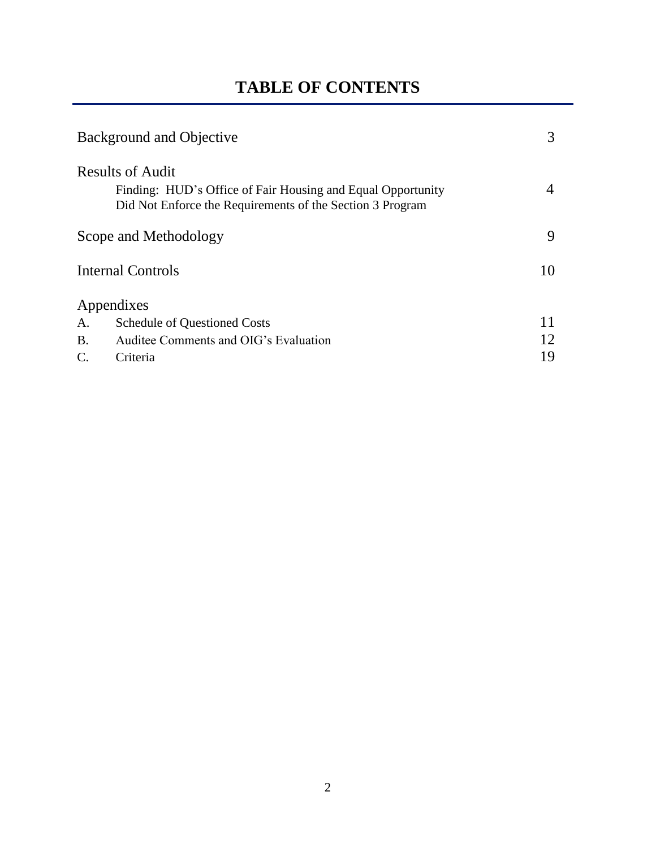# **TABLE OF CONTENTS**

| Background and Objective |                                       | 3  |
|--------------------------|---------------------------------------|----|
| <b>Results of Audit</b>  |                                       |    |
| Scope and Methodology    |                                       | 9  |
| <b>Internal Controls</b> | 10                                    |    |
|                          | Appendixes                            |    |
| A.                       | <b>Schedule of Questioned Costs</b>   |    |
| <b>B.</b>                | Auditee Comments and OIG's Evaluation | 12 |
|                          | Criteria                              | 19 |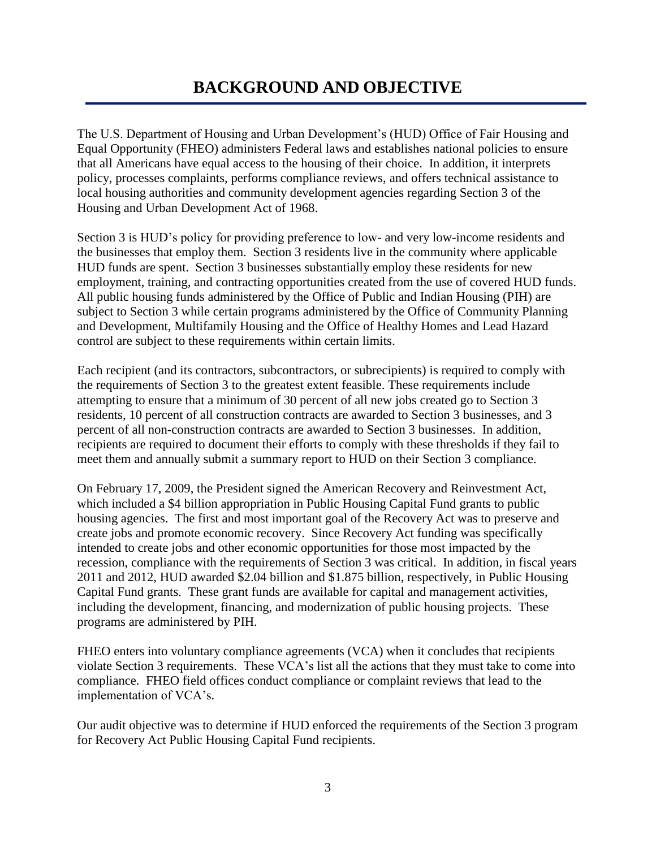The U.S. Department of Housing and Urban Development's (HUD) Office of Fair Housing and Equal Opportunity (FHEO) administers Federal laws and establishes national policies to ensure that all Americans have equal access to the housing of their choice. In addition, it interprets policy, processes complaints, performs compliance reviews, and offers technical assistance to local housing authorities and community development agencies regarding Section 3 of the Housing and Urban Development Act of 1968.

Section 3 is HUD's policy for providing preference to low- and very low-income residents and the businesses that employ them. Section 3 residents live in the community where applicable HUD funds are spent. Section 3 businesses substantially employ these residents for new employment, training, and contracting opportunities created from the use of covered HUD funds. All public housing funds administered by the Office of Public and Indian Housing (PIH) are subject to Section 3 while certain programs administered by the Office of Community Planning and Development, Multifamily Housing and the Office of Healthy Homes and Lead Hazard control are subject to these requirements within certain limits.

Each recipient (and its contractors, subcontractors, or subrecipients) is required to comply with the requirements of Section 3 to the greatest extent feasible. These requirements include attempting to ensure that a minimum of 30 percent of all new jobs created go to Section 3 residents, 10 percent of all construction contracts are awarded to Section 3 businesses, and 3 percent of all non-construction contracts are awarded to Section 3 businesses. In addition, recipients are required to document their efforts to comply with these thresholds if they fail to meet them and annually submit a summary report to HUD on their Section 3 compliance.

On February 17, 2009, the President signed the American Recovery and Reinvestment Act, which included a \$4 billion appropriation in Public Housing Capital Fund grants to public housing agencies. The first and most important goal of the Recovery Act was to preserve and create jobs and promote economic recovery. Since Recovery Act funding was specifically intended to create jobs and other economic opportunities for those most impacted by the recession, compliance with the requirements of Section 3 was critical. In addition, in fiscal years 2011 and 2012, HUD awarded \$2.04 billion and \$1.875 billion, respectively, in Public Housing Capital Fund grants. These grant funds are available for capital and management activities, including the development, financing, and modernization of public housing projects. These programs are administered by PIH.

FHEO enters into voluntary compliance agreements (VCA) when it concludes that recipients violate Section 3 requirements. These VCA's list all the actions that they must take to come into compliance. FHEO field offices conduct compliance or complaint reviews that lead to the implementation of VCA's.

Our audit objective was to determine if HUD enforced the requirements of the Section 3 program for Recovery Act Public Housing Capital Fund recipients.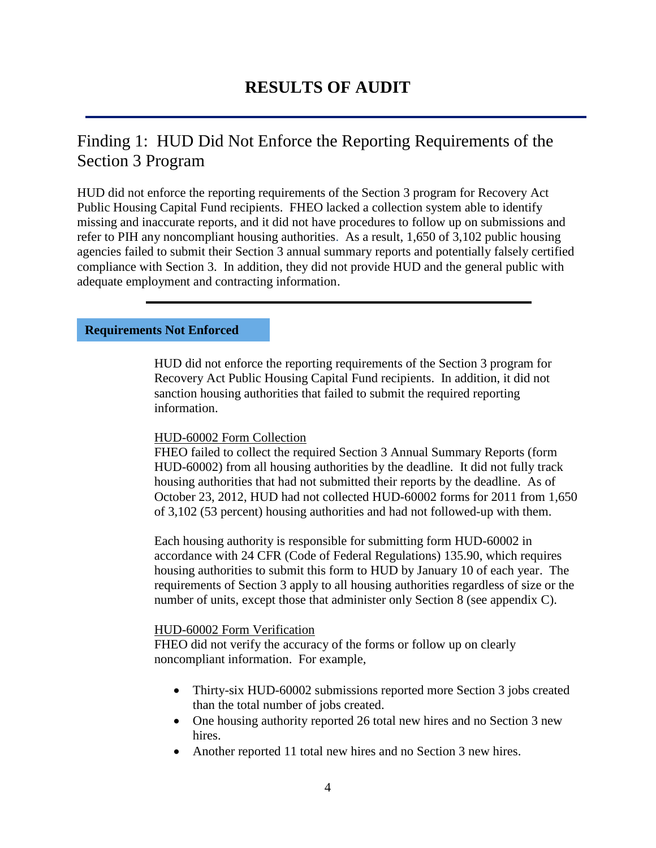### Finding 1: HUD Did Not Enforce the Reporting Requirements of the Section 3 Program

HUD did not enforce the reporting requirements of the Section 3 program for Recovery Act Public Housing Capital Fund recipients. FHEO lacked a collection system able to identify missing and inaccurate reports, and it did not have procedures to follow up on submissions and refer to PIH any noncompliant housing authorities. As a result, 1,650 of 3,102 public housing agencies failed to submit their Section 3 annual summary reports and potentially falsely certified compliance with Section 3. In addition, they did not provide HUD and the general public with adequate employment and contracting information.

### **Requirements Not Enforced**

HUD did not enforce the reporting requirements of the Section 3 program for Recovery Act Public Housing Capital Fund recipients. In addition, it did not sanction housing authorities that failed to submit the required reporting information.

### HUD-60002 Form Collection

FHEO failed to collect the required Section 3 Annual Summary Reports (form HUD-60002) from all housing authorities by the deadline. It did not fully track housing authorities that had not submitted their reports by the deadline. As of October 23, 2012, HUD had not collected HUD-60002 forms for 2011 from 1,650 of 3,102 (53 percent) housing authorities and had not followed-up with them.

Each housing authority is responsible for submitting form HUD-60002 in accordance with 24 CFR (Code of Federal Regulations) 135.90, which requires housing authorities to submit this form to HUD by January 10 of each year. The requirements of Section 3 apply to all housing authorities regardless of size or the number of units, except those that administer only Section 8 (see appendix C).

### HUD-60002 Form Verification

FHEO did not verify the accuracy of the forms or follow up on clearly noncompliant information. For example,

- Thirty-six HUD-60002 submissions reported more Section 3 jobs created than the total number of jobs created.
- One housing authority reported 26 total new hires and no Section 3 new hires.
- Another reported 11 total new hires and no Section 3 new hires.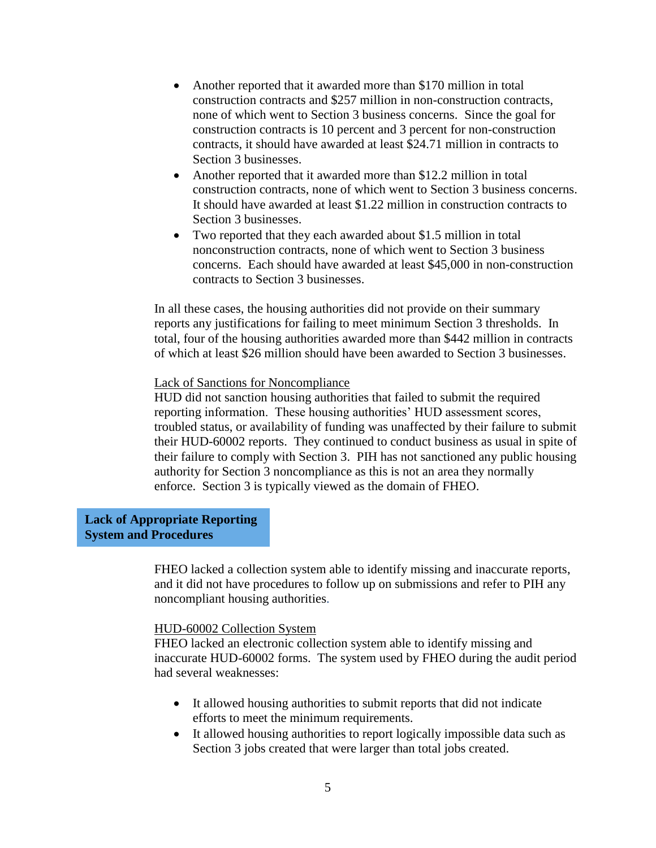- Another reported that it awarded more than \$170 million in total construction contracts and \$257 million in non-construction contracts, none of which went to Section 3 business concerns. Since the goal for construction contracts is 10 percent and 3 percent for non-construction contracts, it should have awarded at least \$24.71 million in contracts to Section 3 businesses.
- Another reported that it awarded more than \$12.2 million in total construction contracts, none of which went to Section 3 business concerns. It should have awarded at least \$1.22 million in construction contracts to Section 3 businesses.
- Two reported that they each awarded about \$1.5 million in total nonconstruction contracts, none of which went to Section 3 business concerns. Each should have awarded at least \$45,000 in non-construction contracts to Section 3 businesses.

In all these cases, the housing authorities did not provide on their summary reports any justifications for failing to meet minimum Section 3 thresholds. In total, four of the housing authorities awarded more than \$442 million in contracts of which at least \$26 million should have been awarded to Section 3 businesses.

### Lack of Sanctions for Noncompliance

HUD did not sanction housing authorities that failed to submit the required reporting information. These housing authorities' HUD assessment scores, troubled status, or availability of funding was unaffected by their failure to submit their HUD-60002 reports. They continued to conduct business as usual in spite of their failure to comply with Section 3. PIH has not sanctioned any public housing authority for Section 3 noncompliance as this is not an area they normally enforce. Section 3 is typically viewed as the domain of FHEO.

### **Lack of Appropriate Reporting System and Procedures**

FHEO lacked a collection system able to identify missing and inaccurate reports, and it did not have procedures to follow up on submissions and refer to PIH any noncompliant housing authorities.

#### HUD-60002 Collection System

FHEO lacked an electronic collection system able to identify missing and inaccurate HUD-60002 forms. The system used by FHEO during the audit period had several weaknesses:

- It allowed housing authorities to submit reports that did not indicate efforts to meet the minimum requirements.
- It allowed housing authorities to report logically impossible data such as Section 3 jobs created that were larger than total jobs created.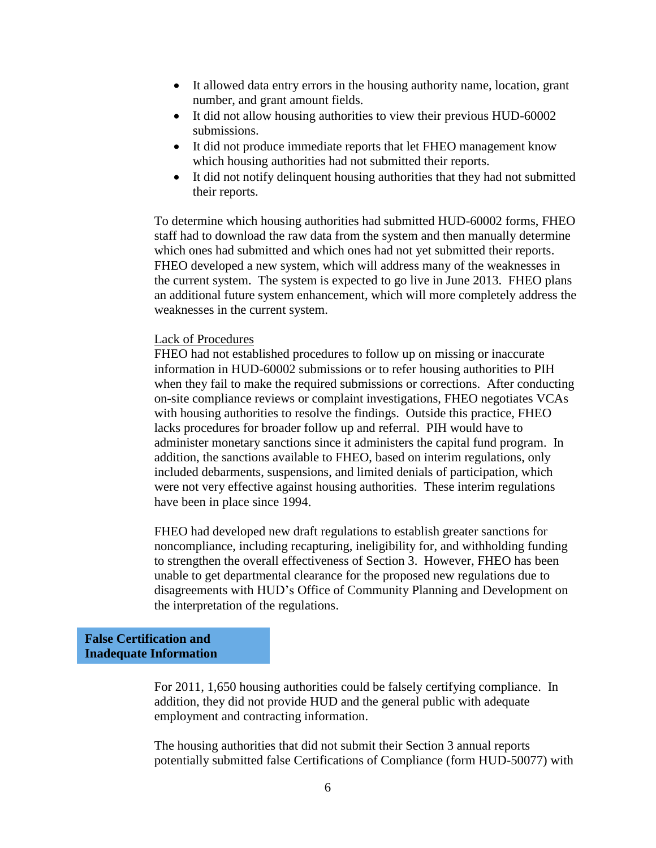- It allowed data entry errors in the housing authority name, location, grant number, and grant amount fields.
- It did not allow housing authorities to view their previous HUD-60002 submissions.
- It did not produce immediate reports that let FHEO management know which housing authorities had not submitted their reports.
- It did not notify delinquent housing authorities that they had not submitted their reports.

To determine which housing authorities had submitted HUD-60002 forms, FHEO staff had to download the raw data from the system and then manually determine which ones had submitted and which ones had not yet submitted their reports. FHEO developed a new system, which will address many of the weaknesses in the current system. The system is expected to go live in June 2013. FHEO plans an additional future system enhancement, which will more completely address the weaknesses in the current system.

#### Lack of Procedures

FHEO had not established procedures to follow up on missing or inaccurate information in HUD-60002 submissions or to refer housing authorities to PIH when they fail to make the required submissions or corrections. After conducting on-site compliance reviews or complaint investigations, FHEO negotiates VCAs with housing authorities to resolve the findings. Outside this practice, FHEO lacks procedures for broader follow up and referral. PIH would have to administer monetary sanctions since it administers the capital fund program. In addition, the sanctions available to FHEO, based on interim regulations, only included debarments, suspensions, and limited denials of participation, which were not very effective against housing authorities. These interim regulations have been in place since 1994.

FHEO had developed new draft regulations to establish greater sanctions for noncompliance, including recapturing, ineligibility for, and withholding funding to strengthen the overall effectiveness of Section 3. However, FHEO has been unable to get departmental clearance for the proposed new regulations due to disagreements with HUD's Office of Community Planning and Development on the interpretation of the regulations.

### **False Certification and Inadequate Information**

For 2011, 1,650 housing authorities could be falsely certifying compliance. In addition, they did not provide HUD and the general public with adequate employment and contracting information.

The housing authorities that did not submit their Section 3 annual reports potentially submitted false Certifications of Compliance (form HUD-50077) with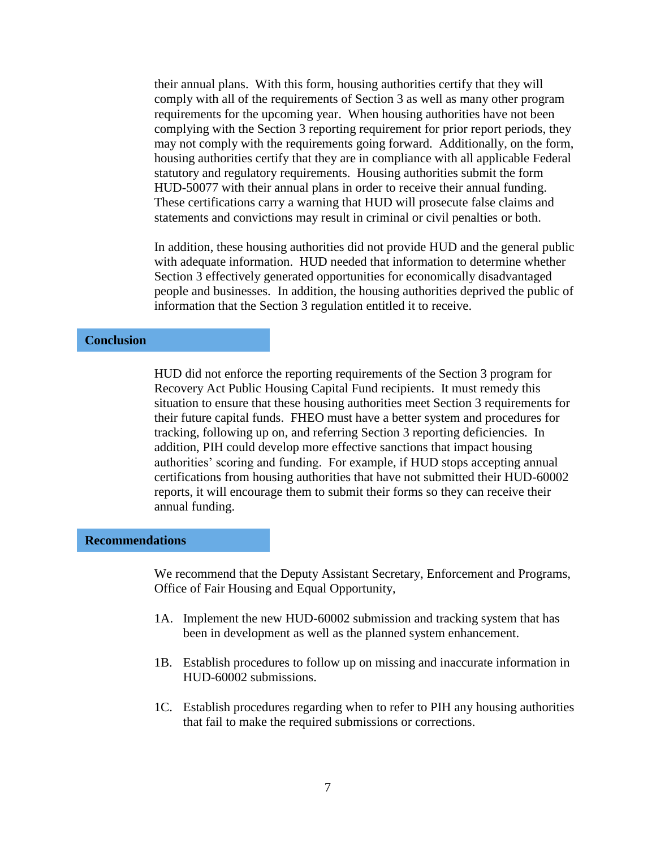their annual plans. With this form, housing authorities certify that they will comply with all of the requirements of Section 3 as well as many other program requirements for the upcoming year. When housing authorities have not been complying with the Section 3 reporting requirement for prior report periods, they may not comply with the requirements going forward. Additionally, on the form, housing authorities certify that they are in compliance with all applicable Federal statutory and regulatory requirements. Housing authorities submit the form HUD-50077 with their annual plans in order to receive their annual funding. These certifications carry a warning that HUD will prosecute false claims and statements and convictions may result in criminal or civil penalties or both.

In addition, these housing authorities did not provide HUD and the general public with adequate information. HUD needed that information to determine whether Section 3 effectively generated opportunities for economically disadvantaged people and businesses. In addition, the housing authorities deprived the public of information that the Section 3 regulation entitled it to receive.

### **Conclusion**

HUD did not enforce the reporting requirements of the Section 3 program for Recovery Act Public Housing Capital Fund recipients. It must remedy this situation to ensure that these housing authorities meet Section 3 requirements for their future capital funds. FHEO must have a better system and procedures for tracking, following up on, and referring Section 3 reporting deficiencies. In addition, PIH could develop more effective sanctions that impact housing authorities' scoring and funding. For example, if HUD stops accepting annual certifications from housing authorities that have not submitted their HUD-60002 reports, it will encourage them to submit their forms so they can receive their annual funding.

#### **Recommendations**

We recommend that the Deputy Assistant Secretary, Enforcement and Programs, Office of Fair Housing and Equal Opportunity,

- 1A. Implement the new HUD-60002 submission and tracking system that has been in development as well as the planned system enhancement.
- 1B. Establish procedures to follow up on missing and inaccurate information in HUD-60002 submissions.
- 1C. Establish procedures regarding when to refer to PIH any housing authorities that fail to make the required submissions or corrections.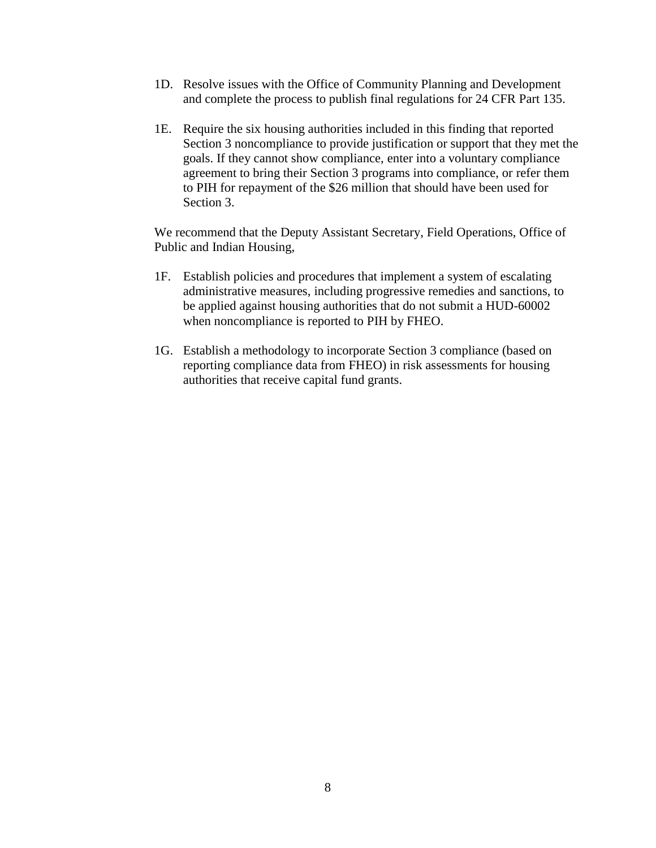- 1D. Resolve issues with the Office of Community Planning and Development and complete the process to publish final regulations for 24 CFR Part 135.
- 1E. Require the six housing authorities included in this finding that reported Section 3 noncompliance to provide justification or support that they met the goals. If they cannot show compliance, enter into a voluntary compliance agreement to bring their Section 3 programs into compliance, or refer them to PIH for repayment of the \$26 million that should have been used for Section 3.

We recommend that the Deputy Assistant Secretary, Field Operations, Office of Public and Indian Housing,

- 1F. Establish policies and procedures that implement a system of escalating administrative measures, including progressive remedies and sanctions, to be applied against housing authorities that do not submit a HUD-60002 when noncompliance is reported to PIH by FHEO.
- 1G. Establish a methodology to incorporate Section 3 compliance (based on reporting compliance data from FHEO) in risk assessments for housing authorities that receive capital fund grants.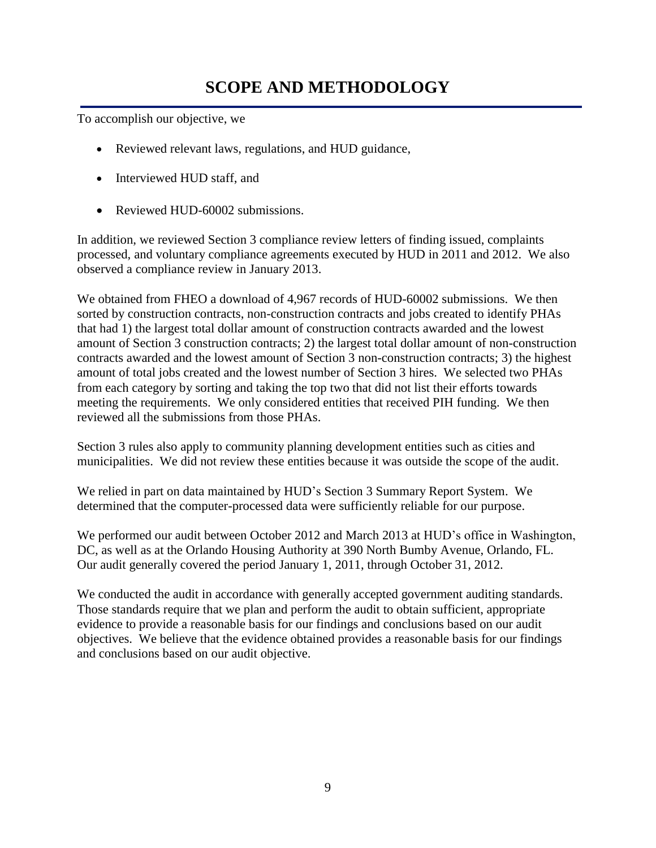## **SCOPE AND METHODOLOGY**

To accomplish our objective, we

- Reviewed relevant laws, regulations, and HUD guidance,
- Interviewed HUD staff, and
- Reviewed HUD-60002 submissions.

In addition, we reviewed Section 3 compliance review letters of finding issued, complaints processed, and voluntary compliance agreements executed by HUD in 2011 and 2012. We also observed a compliance review in January 2013.

We obtained from FHEO a download of 4,967 records of HUD-60002 submissions. We then sorted by construction contracts, non-construction contracts and jobs created to identify PHAs that had 1) the largest total dollar amount of construction contracts awarded and the lowest amount of Section 3 construction contracts; 2) the largest total dollar amount of non-construction contracts awarded and the lowest amount of Section 3 non-construction contracts; 3) the highest amount of total jobs created and the lowest number of Section 3 hires. We selected two PHAs from each category by sorting and taking the top two that did not list their efforts towards meeting the requirements. We only considered entities that received PIH funding. We then reviewed all the submissions from those PHAs.

Section 3 rules also apply to community planning development entities such as cities and municipalities. We did not review these entities because it was outside the scope of the audit.

We relied in part on data maintained by HUD's Section 3 Summary Report System. We determined that the computer-processed data were sufficiently reliable for our purpose.

We performed our audit between October 2012 and March 2013 at HUD's office in Washington, DC, as well as at the Orlando Housing Authority at 390 North Bumby Avenue, Orlando, FL. Our audit generally covered the period January 1, 2011, through October 31, 2012.

We conducted the audit in accordance with generally accepted government auditing standards. Those standards require that we plan and perform the audit to obtain sufficient, appropriate evidence to provide a reasonable basis for our findings and conclusions based on our audit objectives. We believe that the evidence obtained provides a reasonable basis for our findings and conclusions based on our audit objective.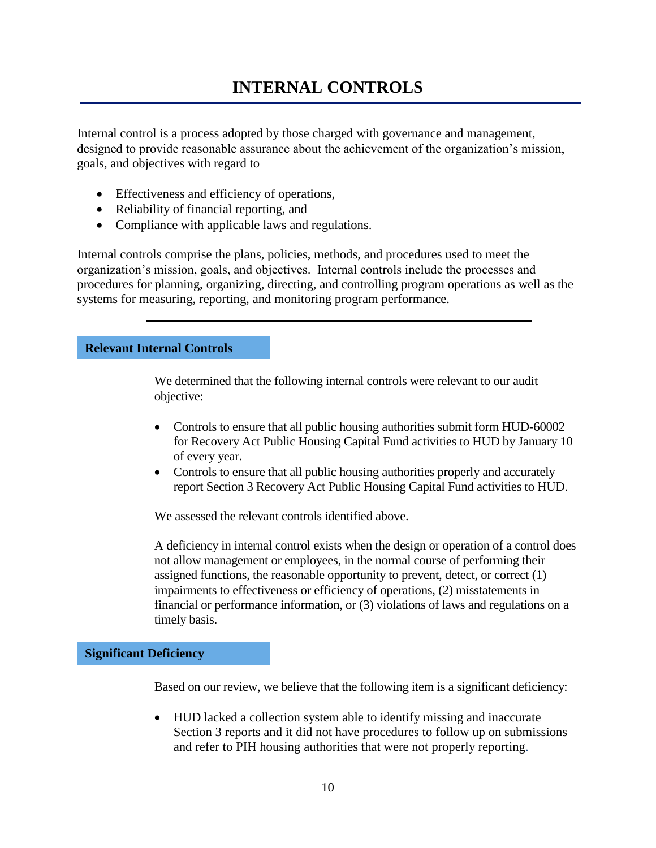## **INTERNAL CONTROLS**

Internal control is a process adopted by those charged with governance and management, designed to provide reasonable assurance about the achievement of the organization's mission, goals, and objectives with regard to

- Effectiveness and efficiency of operations,
- Reliability of financial reporting, and
- Compliance with applicable laws and regulations.

Internal controls comprise the plans, policies, methods, and procedures used to meet the organization's mission, goals, and objectives. Internal controls include the processes and procedures for planning, organizing, directing, and controlling program operations as well as the systems for measuring, reporting, and monitoring program performance.

### **Relevant Internal Controls**

We determined that the following internal controls were relevant to our audit objective:

- Controls to ensure that all public housing authorities submit form HUD-60002 for Recovery Act Public Housing Capital Fund activities to HUD by January 10 of every year.
- Controls to ensure that all public housing authorities properly and accurately report Section 3 Recovery Act Public Housing Capital Fund activities to HUD.

We assessed the relevant controls identified above.

A deficiency in internal control exists when the design or operation of a control does not allow management or employees, in the normal course of performing their assigned functions, the reasonable opportunity to prevent, detect, or correct (1) impairments to effectiveness or efficiency of operations, (2) misstatements in financial or performance information, or (3) violations of laws and regulations on a timely basis.

### **Significant Deficiency**

Based on our review, we believe that the following item is a significant deficiency:

 HUD lacked a collection system able to identify missing and inaccurate Section 3 reports and it did not have procedures to follow up on submissions and refer to PIH housing authorities that were not properly reporting.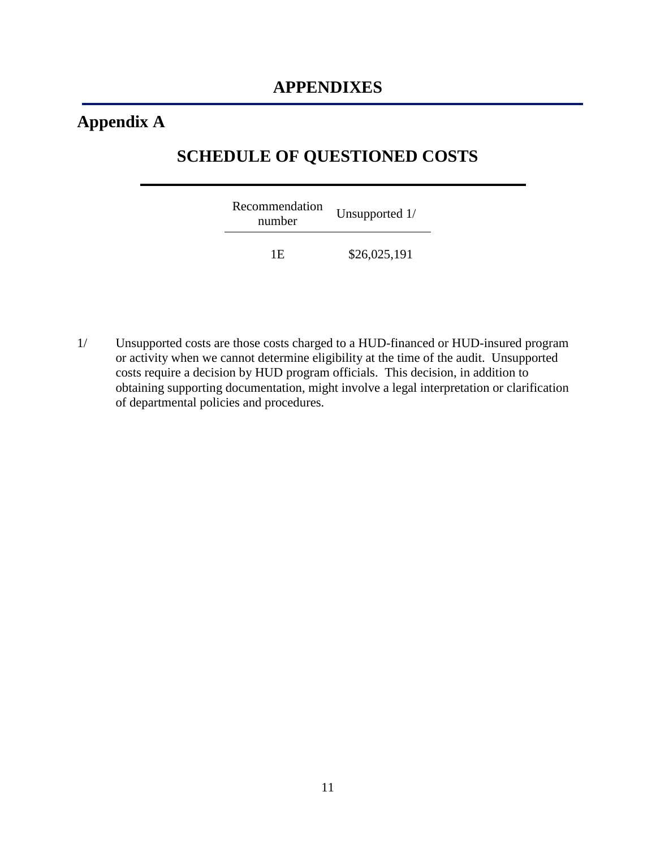## **Appendix A**

### **SCHEDULE OF QUESTIONED COSTS**

| Recommendation<br>number | Unsupported 1/ |
|--------------------------|----------------|
| 1 F                      | \$26,025,191   |

1/ Unsupported costs are those costs charged to a HUD-financed or HUD-insured program or activity when we cannot determine eligibility at the time of the audit. Unsupported costs require a decision by HUD program officials. This decision, in addition to obtaining supporting documentation, might involve a legal interpretation or clarification of departmental policies and procedures.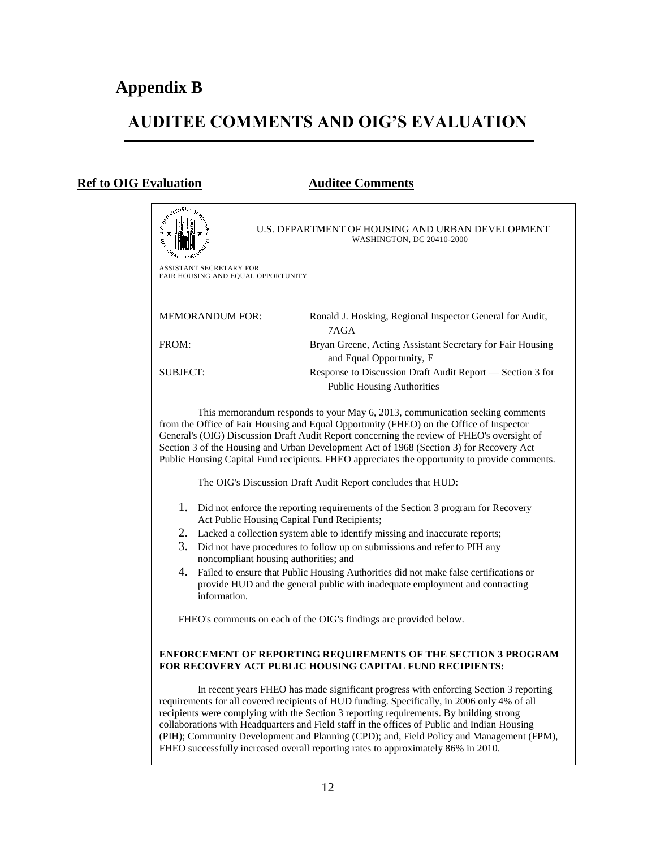## **AUDITEE COMMENTS AND OIG'S EVALUATION**

### **Ref to OIG Evaluation Auditee Comments**

| Sexarue                                                                                                                                                                                                                                                                                                                                                                                                                                                                                                                                                           | U.S. DEPARTMENT OF HOUSING AND URBAN DEVELOPMENT<br>WASHINGTON, DC 20410-2000                                                                                          |  |  |  |  |
|-------------------------------------------------------------------------------------------------------------------------------------------------------------------------------------------------------------------------------------------------------------------------------------------------------------------------------------------------------------------------------------------------------------------------------------------------------------------------------------------------------------------------------------------------------------------|------------------------------------------------------------------------------------------------------------------------------------------------------------------------|--|--|--|--|
| ASSISTANT SECRETARY FOR<br>FAIR HOUSING AND EQUAL OPPORTUNITY                                                                                                                                                                                                                                                                                                                                                                                                                                                                                                     |                                                                                                                                                                        |  |  |  |  |
| <b>MEMORANDUM FOR:</b>                                                                                                                                                                                                                                                                                                                                                                                                                                                                                                                                            | Ronald J. Hosking, Regional Inspector General for Audit,<br>7AGA                                                                                                       |  |  |  |  |
| FROM:                                                                                                                                                                                                                                                                                                                                                                                                                                                                                                                                                             | Bryan Greene, Acting Assistant Secretary for Fair Housing<br>and Equal Opportunity, E                                                                                  |  |  |  |  |
| SUBJECT:                                                                                                                                                                                                                                                                                                                                                                                                                                                                                                                                                          | Response to Discussion Draft Audit Report — Section 3 for<br><b>Public Housing Authorities</b>                                                                         |  |  |  |  |
| This memorandum responds to your May 6, 2013, communication seeking comments<br>from the Office of Fair Housing and Equal Opportunity (FHEO) on the Office of Inspector<br>General's (OIG) Discussion Draft Audit Report concerning the review of FHEO's oversight of<br>Section 3 of the Housing and Urban Development Act of 1968 (Section 3) for Recovery Act<br>Public Housing Capital Fund recipients. FHEO appreciates the opportunity to provide comments.                                                                                                 |                                                                                                                                                                        |  |  |  |  |
|                                                                                                                                                                                                                                                                                                                                                                                                                                                                                                                                                                   | The OIG's Discussion Draft Audit Report concludes that HUD:                                                                                                            |  |  |  |  |
| 1.<br>Did not enforce the reporting requirements of the Section 3 program for Recovery<br>Act Public Housing Capital Fund Recipients;                                                                                                                                                                                                                                                                                                                                                                                                                             |                                                                                                                                                                        |  |  |  |  |
| 2.                                                                                                                                                                                                                                                                                                                                                                                                                                                                                                                                                                | Lacked a collection system able to identify missing and inaccurate reports;                                                                                            |  |  |  |  |
| 3.<br>noncompliant housing authorities; and                                                                                                                                                                                                                                                                                                                                                                                                                                                                                                                       | Did not have procedures to follow up on submissions and refer to PIH any                                                                                               |  |  |  |  |
| 4.<br>information.                                                                                                                                                                                                                                                                                                                                                                                                                                                                                                                                                | Failed to ensure that Public Housing Authorities did not make false certifications or<br>provide HUD and the general public with inadequate employment and contracting |  |  |  |  |
| FHEO's comments on each of the OIG's findings are provided below.                                                                                                                                                                                                                                                                                                                                                                                                                                                                                                 |                                                                                                                                                                        |  |  |  |  |
| ENFORCEMENT OF REPORTING REQUIREMENTS OF THE SECTION 3 PROGRAM<br>FOR RECOVERY ACT PUBLIC HOUSING CAPITAL FUND RECIPIENTS:                                                                                                                                                                                                                                                                                                                                                                                                                                        |                                                                                                                                                                        |  |  |  |  |
| In recent years FHEO has made significant progress with enforcing Section 3 reporting<br>requirements for all covered recipients of HUD funding. Specifically, in 2006 only 4% of all<br>recipients were complying with the Section 3 reporting requirements. By building strong<br>collaborations with Headquarters and Field staff in the offices of Public and Indian Housing<br>(PIH); Community Development and Planning (CPD); and, Field Policy and Management (FPM),<br>FHEO successfully increased overall reporting rates to approximately 86% in 2010. |                                                                                                                                                                        |  |  |  |  |
|                                                                                                                                                                                                                                                                                                                                                                                                                                                                                                                                                                   |                                                                                                                                                                        |  |  |  |  |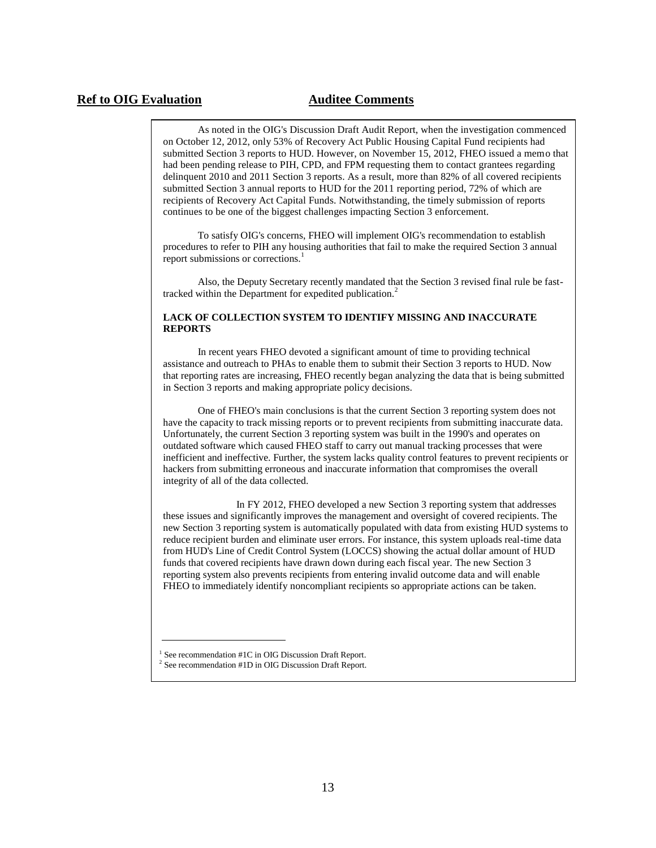### **Ref to OIG Evaluation Auditee Comments**

As noted in the OIG's Discussion Draft Audit Report, when the investigation commenced on October 12, 2012, only 53% of Recovery Act Public Housing Capital Fund recipients had submitted Section 3 reports to HUD. However, on November 15, 2012, FHEO issued a memo that had been pending release to PIH, CPD, and FPM requesting them to contact grantees regarding delinquent 2010 and 2011 Section 3 reports. As a result, more than 82% of all covered recipients submitted Section 3 annual reports to HUD for the 2011 reporting period, 72% of which are recipients of Recovery Act Capital Funds. Notwithstanding, the timely submission of reports continues to be one of the biggest challenges impacting Section 3 enforcement.

To satisfy OIG's concerns, FHEO will implement OIG's recommendation to establish procedures to refer to PIH any housing authorities that fail to make the required Section 3 annual report submissions or corrections.<sup>1</sup>

Also, the Deputy Secretary recently mandated that the Section 3 revised final rule be fasttracked within the Department for expedited publication.<sup>2</sup>

#### **LACK OF COLLECTION SYSTEM TO IDENTIFY MISSING AND INACCURATE REPORTS**

In recent years FHEO devoted a significant amount of time to providing technical assistance and outreach to PHAs to enable them to submit their Section 3 reports to HUD. Now that reporting rates are increasing, FHEO recently began analyzing the data that is being submitted in Section 3 reports and making appropriate policy decisions.

One of FHEO's main conclusions is that the current Section 3 reporting system does not have the capacity to track missing reports or to prevent recipients from submitting inaccurate data. Unfortunately, the current Section 3 reporting system was built in the 1990's and operates on outdated software which caused FHEO staff to carry out manual tracking processes that were inefficient and ineffective. Further, the system lacks quality control features to prevent recipients or hackers from submitting erroneous and inaccurate information that compromises the overall integrity of all of the data collected.

In FY 2012, FHEO developed a new Section 3 reporting system that addresses these issues and significantly improves the management and oversight of covered recipients. The new Section 3 reporting system is automatically populated with data from existing HUD systems to reduce recipient burden and eliminate user errors. For instance, this system uploads real-time data from HUD's Line of Credit Control System (LOCCS) showing the actual dollar amount of HUD funds that covered recipients have drawn down during each fiscal year. The new Section 3 reporting system also prevents recipients from entering invalid outcome data and will enable FHEO to immediately identify noncompliant recipients so appropriate actions can be taken.

<sup>&</sup>lt;sup>1</sup> See recommendation #1C in OIG Discussion Draft Report.

<sup>&</sup>lt;sup>2</sup> See recommendation #1D in OIG Discussion Draft Report.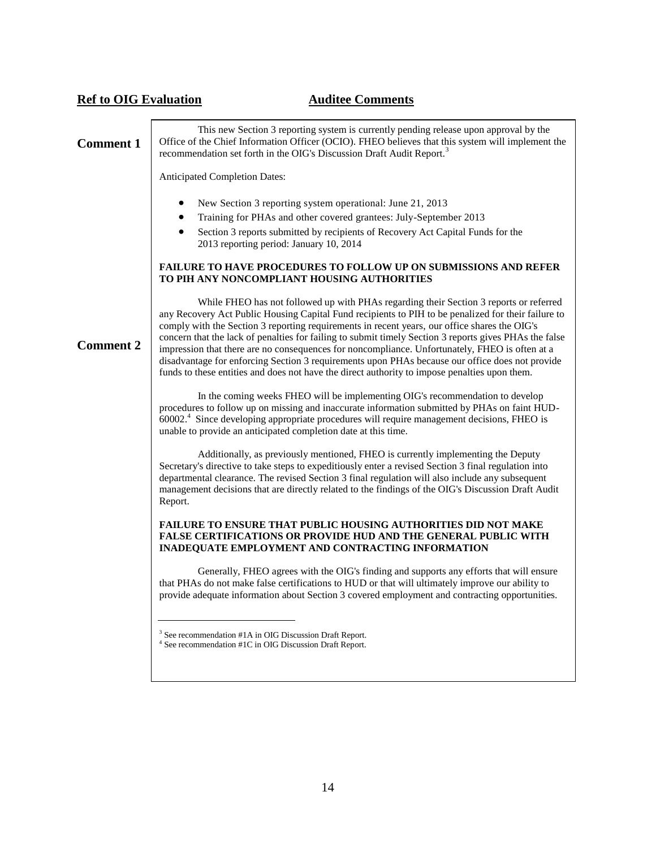| <b>Ref to OIG Evaluation</b> | <b>Auditee Comments</b>                                                                                                                                                                                                                                                                                                                                                                                                                                                                                                                                                                                                                                                                                        |
|------------------------------|----------------------------------------------------------------------------------------------------------------------------------------------------------------------------------------------------------------------------------------------------------------------------------------------------------------------------------------------------------------------------------------------------------------------------------------------------------------------------------------------------------------------------------------------------------------------------------------------------------------------------------------------------------------------------------------------------------------|
| <b>Comment 1</b>             | This new Section 3 reporting system is currently pending release upon approval by the<br>Office of the Chief Information Officer (OCIO). FHEO believes that this system will implement the<br>recommendation set forth in the OIG's Discussion Draft Audit Report. <sup>3</sup>                                                                                                                                                                                                                                                                                                                                                                                                                                |
|                              | Anticipated Completion Dates:                                                                                                                                                                                                                                                                                                                                                                                                                                                                                                                                                                                                                                                                                  |
|                              | New Section 3 reporting system operational: June 21, 2013<br>Training for PHAs and other covered grantees: July-September 2013<br>Section 3 reports submitted by recipients of Recovery Act Capital Funds for the<br>2013 reporting period: January 10, 2014                                                                                                                                                                                                                                                                                                                                                                                                                                                   |
|                              | FAILURE TO HAVE PROCEDURES TO FOLLOW UP ON SUBMISSIONS AND REFER<br>TO PIH ANY NONCOMPLIANT HOUSING AUTHORITIES                                                                                                                                                                                                                                                                                                                                                                                                                                                                                                                                                                                                |
| <b>Comment 2</b>             | While FHEO has not followed up with PHAs regarding their Section 3 reports or referred<br>any Recovery Act Public Housing Capital Fund recipients to PIH to be penalized for their failure to<br>comply with the Section 3 reporting requirements in recent years, our office shares the OIG's<br>concern that the lack of penalties for failing to submit timely Section 3 reports gives PHAs the false<br>impression that there are no consequences for noncompliance. Unfortunately, FHEO is often at a<br>disadvantage for enforcing Section 3 requirements upon PHAs because our office does not provide<br>funds to these entities and does not have the direct authority to impose penalties upon them. |
|                              | In the coming weeks FHEO will be implementing OIG's recommendation to develop<br>procedures to follow up on missing and inaccurate information submitted by PHAs on faint HUD-<br>60002. <sup>4</sup> Since developing appropriate procedures will require management decisions, FHEO is<br>unable to provide an anticipated completion date at this time.                                                                                                                                                                                                                                                                                                                                                     |
|                              | Additionally, as previously mentioned, FHEO is currently implementing the Deputy<br>Secretary's directive to take steps to expeditiously enter a revised Section 3 final regulation into<br>departmental clearance. The revised Section 3 final regulation will also include any subsequent<br>management decisions that are directly related to the findings of the OIG's Discussion Draft Audit<br>Report.                                                                                                                                                                                                                                                                                                   |
|                              | <b>FAILURE TO ENSURE THAT PUBLIC HOUSING AUTHORITIES DID NOT MAKE</b><br><b>FALSE CERTIFICATIONS OR PROVIDE HUD AND THE GENERAL PUBLIC WITH</b><br>INADEQUATE EMPLOYMENT AND CONTRACTING INFORMATION                                                                                                                                                                                                                                                                                                                                                                                                                                                                                                           |
|                              | Generally, FHEO agrees with the OIG's finding and supports any efforts that will ensure<br>that PHAs do not make false certifications to HUD or that will ultimately improve our ability to<br>provide adequate information about Section 3 covered employment and contracting opportunities.                                                                                                                                                                                                                                                                                                                                                                                                                  |
|                              | <sup>3</sup> See recommendation #1A in OIG Discussion Draft Report.                                                                                                                                                                                                                                                                                                                                                                                                                                                                                                                                                                                                                                            |

 $^3$  See recommendation #1A in OIG Discussion Draft Report.<br><sup>4</sup> See recommendation #1C in OIG Discussion Draft Report.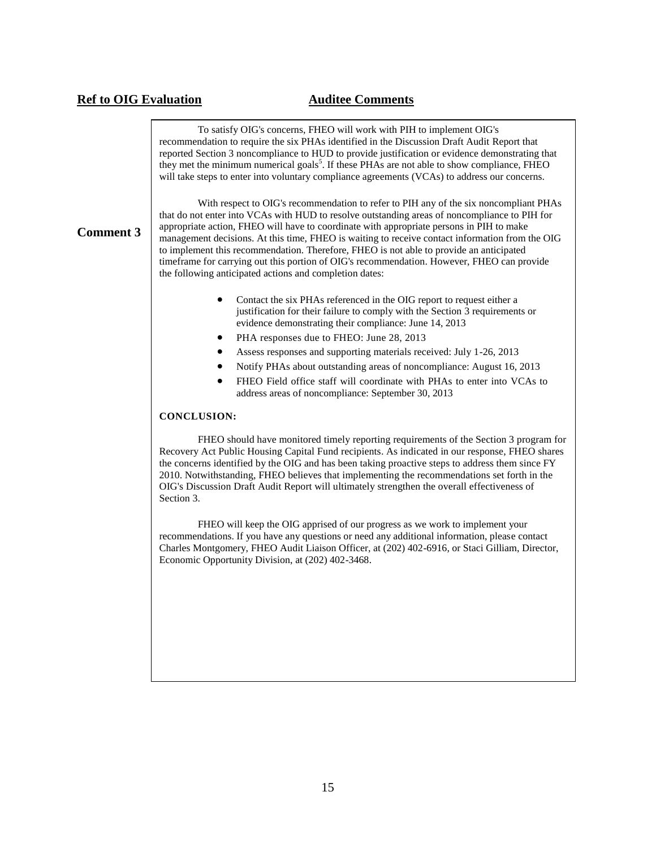### **Ref to OIG Evaluation Auditee Comments**

To satisfy OIG's concerns, FHEO will work with PIH to implement OIG's recommendation to require the six PHAs identified in the Discussion Draft Audit Report that reported Section 3 noncompliance to HUD to provide justification or evidence demonstrating that they met the minimum numerical goals<sup>5</sup>. If these PHAs are not able to show compliance, FHEO will take steps to enter into voluntary compliance agreements (VCAs) to address our concerns.

### **Comment 3**

With respect to OIG's recommendation to refer to PIH any of the six noncompliant PHAs that do not enter into VCAs with HUD to resolve outstanding areas of noncompliance to PIH for appropriate action, FHEO will have to coordinate with appropriate persons in PIH to make management decisions. At this time, FHEO is waiting to receive contact information from the OIG to implement this recommendation. Therefore, FHEO is not able to provide an anticipated timeframe for carrying out this portion of OIG's recommendation. However, FHEO can provide the following anticipated actions and completion dates:

- Contact the six PHAs referenced in the OIG report to request either a justification for their failure to comply with the Section 3 requirements or evidence demonstrating their compliance: June 14, 2013
- PHA responses due to FHEO: June 28, 2013
- Assess responses and supporting materials received: July 1-26, 2013
- Notify PHAs about outstanding areas of noncompliance: August 16, 2013
- FHEO Field office staff will coordinate with PHAs to enter into VCAs to address areas of noncompliance: September 30, 2013

#### **CONCLUSION:**

FHEO should have monitored timely reporting requirements of the Section 3 program for Recovery Act Public Housing Capital Fund recipients. As indicated in our response, FHEO shares the concerns identified by the OIG and has been taking proactive steps to address them since FY 2010. Notwithstanding, FHEO believes that implementing the recommendations set forth in the OIG's Discussion Draft Audit Report will ultimately strengthen the overall effectiveness of Section 3.

FHEO will keep the OIG apprised of our progress as we work to implement your recommendations. If you have any questions or need any additional information, please contact Charles Montgomery, FHEO Audit Liaison Officer, at (202) 402-6916, or Staci Gilliam, Director, Economic Opportunity Division, at (202) 402-3468.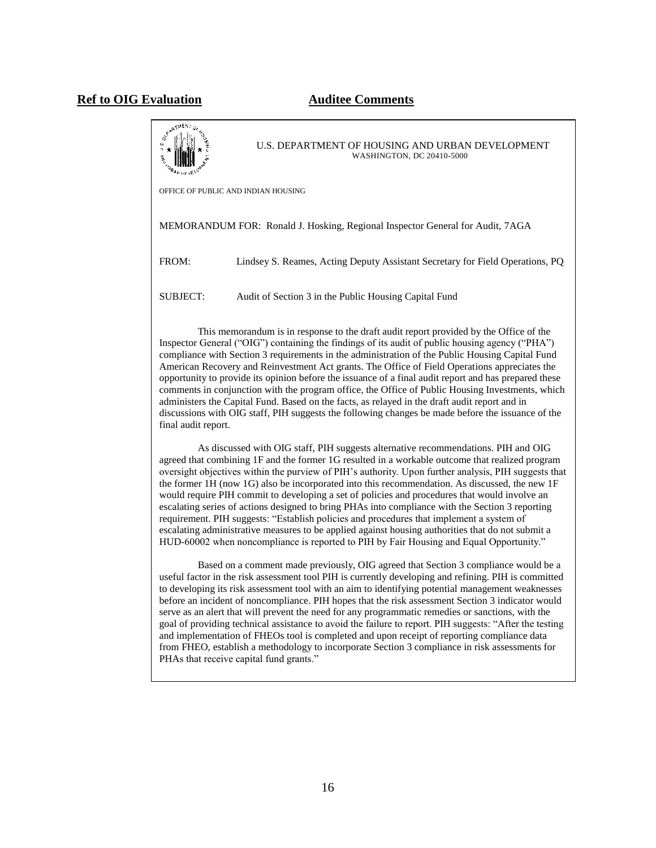U.S. DEPARTMENT OF HOUSING AND URBAN DEVELOPMENT WASHINGTON, DC 20410-5000 OFFICE OF PUBLIC AND INDIAN HOUSING MEMORANDUM FOR: Ronald J. Hosking, Regional Inspector General for Audit, 7AGA FROM: Lindsey S. Reames, Acting Deputy Assistant Secretary for Field Operations, PQ SUBJECT: Audit of Section 3 in the Public Housing Capital Fund This memorandum is in response to the draft audit report provided by the Office of the Inspector General ("OIG") containing the findings of its audit of public housing agency ("PHA") compliance with Section 3 requirements in the administration of the Public Housing Capital Fund American Recovery and Reinvestment Act grants. The Office of Field Operations appreciates the opportunity to provide its opinion before the issuance of a final audit report and has prepared these comments in conjunction with the program office, the Office of Public Housing Investments, which administers the Capital Fund. Based on the facts, as relayed in the draft audit report and in discussions with OIG staff, PIH suggests the following changes be made before the issuance of the final audit report.

As discussed with OIG staff, PIH suggests alternative recommendations. PIH and OIG agreed that combining 1F and the former 1G resulted in a workable outcome that realized program oversight objectives within the purview of PIH's authority. Upon further analysis, PIH suggests that the former 1H (now 1G) also be incorporated into this recommendation. As discussed, the new 1F would require PIH commit to developing a set of policies and procedures that would involve an escalating series of actions designed to bring PHAs into compliance with the Section 3 reporting requirement. PIH suggests: "Establish policies and procedures that implement a system of escalating administrative measures to be applied against housing authorities that do not submit a HUD-60002 when noncompliance is reported to PIH by Fair Housing and Equal Opportunity."

Based on a comment made previously, OIG agreed that Section 3 compliance would be a useful factor in the risk assessment tool PIH is currently developing and refining. PIH is committed to developing its risk assessment tool with an aim to identifying potential management weaknesses before an incident of noncompliance. PIH hopes that the risk assessment Section 3 indicator would serve as an alert that will prevent the need for any programmatic remedies or sanctions, with the goal of providing technical assistance to avoid the failure to report. PIH suggests: "After the testing and implementation of FHEOs tool is completed and upon receipt of reporting compliance data from FHEO, establish a methodology to incorporate Section 3 compliance in risk assessments for PHAs that receive capital fund grants."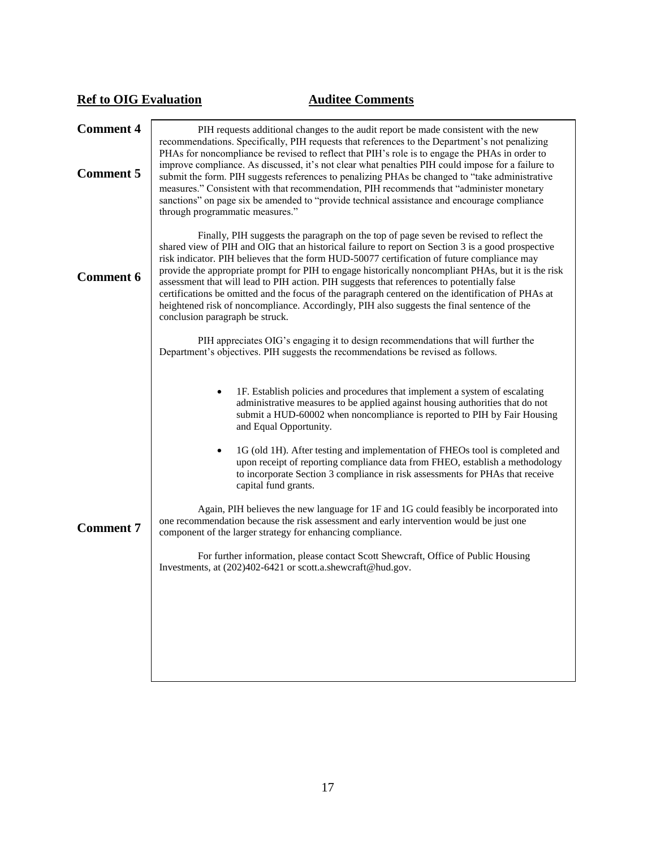| PIH requests additional changes to the audit report be made consistent with the new<br>recommendations. Specifically, PIH requests that references to the Department's not penalizing                                                                                                                                                                                                                                                                                                                                                                                                                                                                                                                                                                                                                                                                                                                                                                                                                                                                                                                                       |  |
|-----------------------------------------------------------------------------------------------------------------------------------------------------------------------------------------------------------------------------------------------------------------------------------------------------------------------------------------------------------------------------------------------------------------------------------------------------------------------------------------------------------------------------------------------------------------------------------------------------------------------------------------------------------------------------------------------------------------------------------------------------------------------------------------------------------------------------------------------------------------------------------------------------------------------------------------------------------------------------------------------------------------------------------------------------------------------------------------------------------------------------|--|
| PHAs for noncompliance be revised to reflect that PIH's role is to engage the PHAs in order to<br>improve compliance. As discussed, it's not clear what penalties PIH could impose for a failure to<br>submit the form. PIH suggests references to penalizing PHAs be changed to "take administrative<br>measures." Consistent with that recommendation, PIH recommends that "administer monetary<br>sanctions" on page six be amended to "provide technical assistance and encourage compliance                                                                                                                                                                                                                                                                                                                                                                                                                                                                                                                                                                                                                            |  |
| Finally, PIH suggests the paragraph on the top of page seven be revised to reflect the<br>shared view of PIH and OIG that an historical failure to report on Section 3 is a good prospective<br>risk indicator. PIH believes that the form HUD-50077 certification of future compliance may<br>provide the appropriate prompt for PIH to engage historically noncompliant PHAs, but it is the risk<br>assessment that will lead to PIH action. PIH suggests that references to potentially false<br>certifications be omitted and the focus of the paragraph centered on the identification of PHAs at<br>heightened risk of noncompliance. Accordingly, PIH also suggests the final sentence of the<br>conclusion paragraph be struck.                                                                                                                                                                                                                                                                                                                                                                                     |  |
| PIH appreciates OIG's engaging it to design recommendations that will further the<br>Department's objectives. PIH suggests the recommendations be revised as follows.<br>1F. Establish policies and procedures that implement a system of escalating<br>administrative measures to be applied against housing authorities that do not<br>submit a HUD-60002 when noncompliance is reported to PIH by Fair Housing<br>and Equal Opportunity.<br>1G (old 1H). After testing and implementation of FHEOs tool is completed and<br>upon receipt of reporting compliance data from FHEO, establish a methodology<br>to incorporate Section 3 compliance in risk assessments for PHAs that receive<br>capital fund grants.<br>Again, PIH believes the new language for 1F and 1G could feasibly be incorporated into<br>one recommendation because the risk assessment and early intervention would be just one<br>component of the larger strategy for enhancing compliance.<br>For further information, please contact Scott Shewcraft, Office of Public Housing<br>Investments, at (202)402-6421 or scott.a.shewcraft@hud.gov. |  |
|                                                                                                                                                                                                                                                                                                                                                                                                                                                                                                                                                                                                                                                                                                                                                                                                                                                                                                                                                                                                                                                                                                                             |  |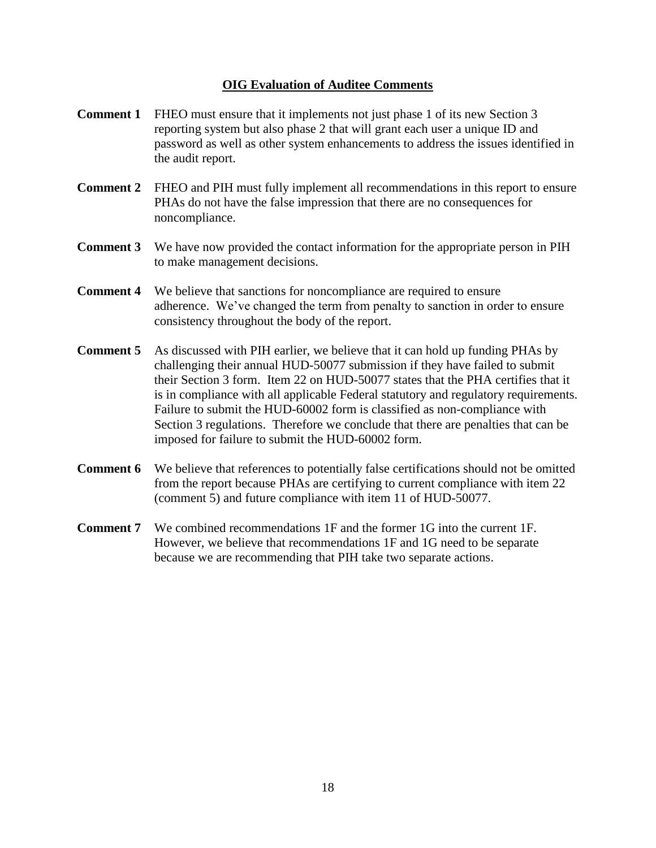### **OIG Evaluation of Auditee Comments**

- **Comment 1** FHEO must ensure that it implements not just phase 1 of its new Section 3 reporting system but also phase 2 that will grant each user a unique ID and password as well as other system enhancements to address the issues identified in the audit report.
- **Comment 2** FHEO and PIH must fully implement all recommendations in this report to ensure PHAs do not have the false impression that there are no consequences for noncompliance.
- **Comment 3** We have now provided the contact information for the appropriate person in PIH to make management decisions.
- **Comment 4** We believe that sanctions for noncompliance are required to ensure adherence. We've changed the term from penalty to sanction in order to ensure consistency throughout the body of the report.
- **Comment 5** As discussed with PIH earlier, we believe that it can hold up funding PHAs by challenging their annual HUD-50077 submission if they have failed to submit their Section 3 form. Item 22 on HUD-50077 states that the PHA certifies that it is in compliance with all applicable Federal statutory and regulatory requirements. Failure to submit the HUD-60002 form is classified as non-compliance with Section 3 regulations. Therefore we conclude that there are penalties that can be imposed for failure to submit the HUD-60002 form.
- **Comment 6** We believe that references to potentially false certifications should not be omitted from the report because PHAs are certifying to current compliance with item 22 (comment 5) and future compliance with item 11 of HUD-50077.
- **Comment 7** We combined recommendations 1F and the former 1G into the current 1F. However, we believe that recommendations 1F and 1G need to be separate because we are recommending that PIH take two separate actions.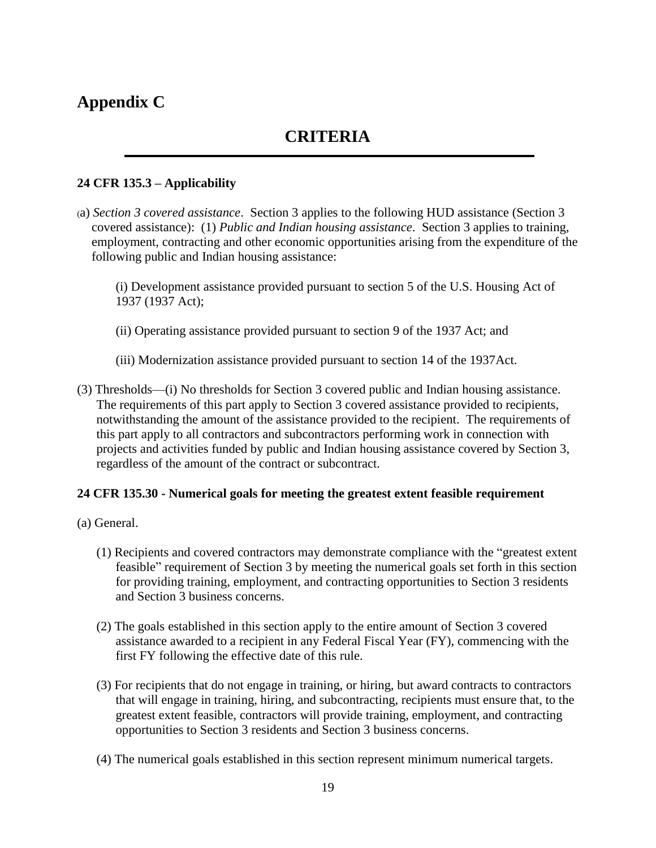### **Appendix C**

### **CRITERIA**

### **24 CFR 135.3 – Applicability**

(a) *Section 3 covered assistance*. Section 3 applies to the following HUD assistance (Section 3 covered assistance): (1) *Public and Indian housing assistance*. Section 3 applies to training, employment, contracting and other economic opportunities arising from the expenditure of the following public and Indian housing assistance:

(i) Development assistance provided pursuant to section 5 of the U.S. Housing Act of 1937 (1937 Act);

- (ii) Operating assistance provided pursuant to section 9 of the 1937 Act; and
- (iii) Modernization assistance provided pursuant to section 14 of the 1937Act.
- (3) Thresholds—(i) No thresholds for Section 3 covered public and Indian housing assistance. The requirements of this part apply to Section 3 covered assistance provided to recipients, notwithstanding the amount of the assistance provided to the recipient. The requirements of this part apply to all contractors and subcontractors performing work in connection with projects and activities funded by public and Indian housing assistance covered by Section 3, regardless of the amount of the contract or subcontract.

### **24 CFR 135.30 - Numerical goals for meeting the greatest extent feasible requirement**

- (a) General.
	- (1) Recipients and covered contractors may demonstrate compliance with the "greatest extent feasible" requirement of Section 3 by meeting the numerical goals set forth in this section for providing training, employment, and contracting opportunities to Section 3 residents and Section 3 business concerns.
	- (2) The goals established in this section apply to the entire amount of Section 3 covered assistance awarded to a recipient in any Federal Fiscal Year (FY), commencing with the first FY following the effective date of this rule.
	- (3) For recipients that do not engage in training, or hiring, but award contracts to contractors that will engage in training, hiring, and subcontracting, recipients must ensure that, to the greatest extent feasible, contractors will provide training, employment, and contracting opportunities to Section 3 residents and Section 3 business concerns.
	- (4) The numerical goals established in this section represent minimum numerical targets.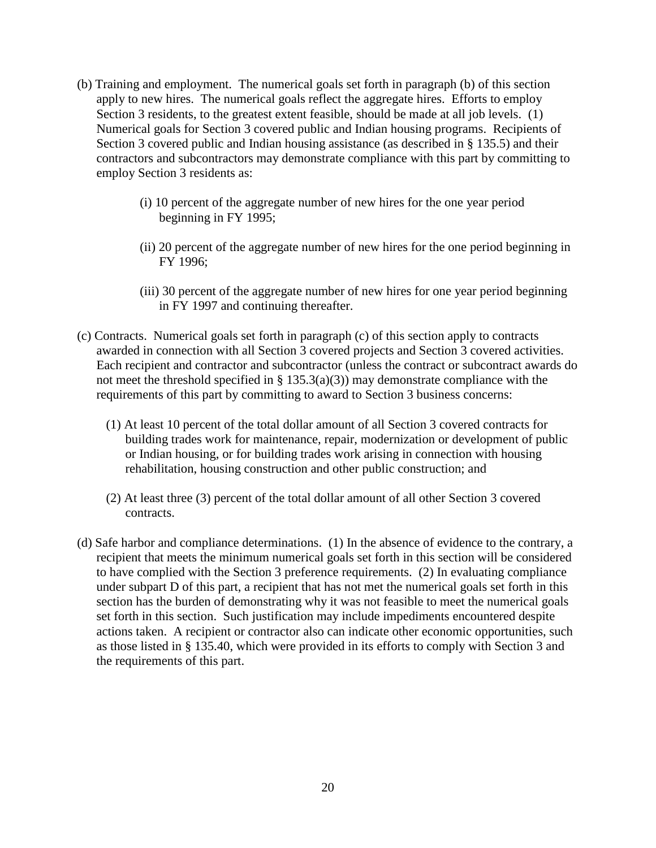- (b) Training and employment. The numerical goals set forth in paragraph (b) of this section apply to new hires. The numerical goals reflect the aggregate hires. Efforts to employ Section 3 residents, to the greatest extent feasible, should be made at all job levels. (1) Numerical goals for Section 3 covered public and Indian housing programs. Recipients of Section 3 covered public and Indian housing assistance (as described in § 135.5) and their contractors and subcontractors may demonstrate compliance with this part by committing to employ Section 3 residents as:
	- (i) 10 percent of the aggregate number of new hires for the one year period beginning in FY 1995;
	- (ii) 20 percent of the aggregate number of new hires for the one period beginning in FY 1996;
	- (iii) 30 percent of the aggregate number of new hires for one year period beginning in FY 1997 and continuing thereafter.
- (c) Contracts. Numerical goals set forth in paragraph (c) of this section apply to contracts awarded in connection with all Section 3 covered projects and Section 3 covered activities. Each recipient and contractor and subcontractor (unless the contract or subcontract awards do not meet the threshold specified in  $\S$  135.3(a)(3)) may demonstrate compliance with the requirements of this part by committing to award to Section 3 business concerns:
	- (1) At least 10 percent of the total dollar amount of all Section 3 covered contracts for building trades work for maintenance, repair, modernization or development of public or Indian housing, or for building trades work arising in connection with housing rehabilitation, housing construction and other public construction; and
	- (2) At least three (3) percent of the total dollar amount of all other Section 3 covered contracts.
- (d) Safe harbor and compliance determinations. (1) In the absence of evidence to the contrary, a recipient that meets the minimum numerical goals set forth in this section will be considered to have complied with the Section 3 preference requirements. (2) In evaluating compliance under subpart D of this part, a recipient that has not met the numerical goals set forth in this section has the burden of demonstrating why it was not feasible to meet the numerical goals set forth in this section. Such justification may include impediments encountered despite actions taken. A recipient or contractor also can indicate other economic opportunities, such as those listed in § 135.40, which were provided in its efforts to comply with Section 3 and the requirements of this part.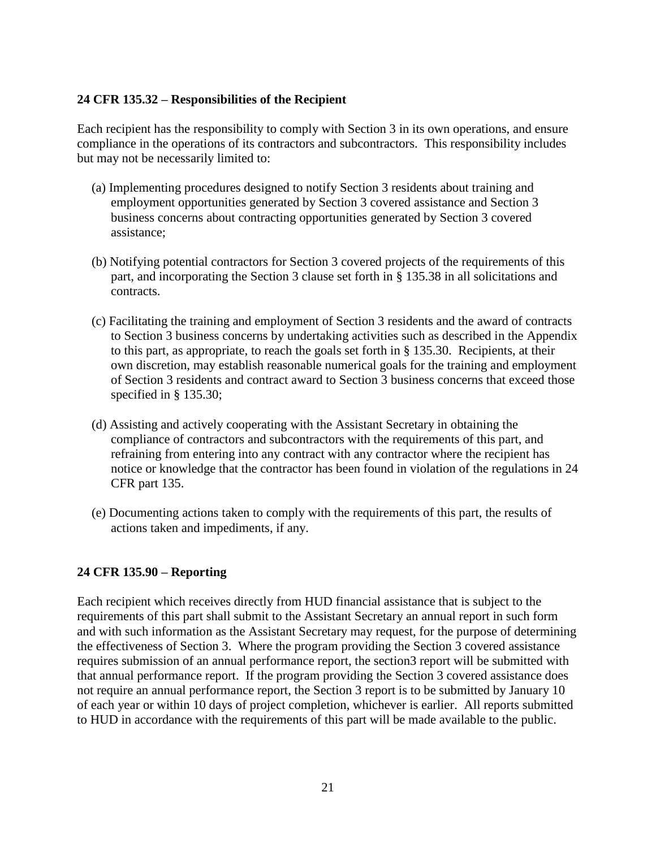### **24 CFR 135.32 – Responsibilities of the Recipient**

Each recipient has the responsibility to comply with Section 3 in its own operations, and ensure compliance in the operations of its contractors and subcontractors. This responsibility includes but may not be necessarily limited to:

- (a) Implementing procedures designed to notify Section 3 residents about training and employment opportunities generated by Section 3 covered assistance and Section 3 business concerns about contracting opportunities generated by Section 3 covered assistance;
- (b) Notifying potential contractors for Section 3 covered projects of the requirements of this part, and incorporating the Section 3 clause set forth in § 135.38 in all solicitations and contracts.
- (c) Facilitating the training and employment of Section 3 residents and the award of contracts to Section 3 business concerns by undertaking activities such as described in the Appendix to this part, as appropriate, to reach the goals set forth in § 135.30. Recipients, at their own discretion, may establish reasonable numerical goals for the training and employment of Section 3 residents and contract award to Section 3 business concerns that exceed those specified in § 135.30;
- (d) Assisting and actively cooperating with the Assistant Secretary in obtaining the compliance of contractors and subcontractors with the requirements of this part, and refraining from entering into any contract with any contractor where the recipient has notice or knowledge that the contractor has been found in violation of the regulations in 24 CFR part 135.
- (e) Documenting actions taken to comply with the requirements of this part, the results of actions taken and impediments, if any.

### **24 CFR 135.90 – Reporting**

Each recipient which receives directly from HUD financial assistance that is subject to the requirements of this part shall submit to the Assistant Secretary an annual report in such form and with such information as the Assistant Secretary may request, for the purpose of determining the effectiveness of Section 3. Where the program providing the Section 3 covered assistance requires submission of an annual performance report, the section3 report will be submitted with that annual performance report. If the program providing the Section 3 covered assistance does not require an annual performance report, the Section 3 report is to be submitted by January 10 of each year or within 10 days of project completion, whichever is earlier. All reports submitted to HUD in accordance with the requirements of this part will be made available to the public.